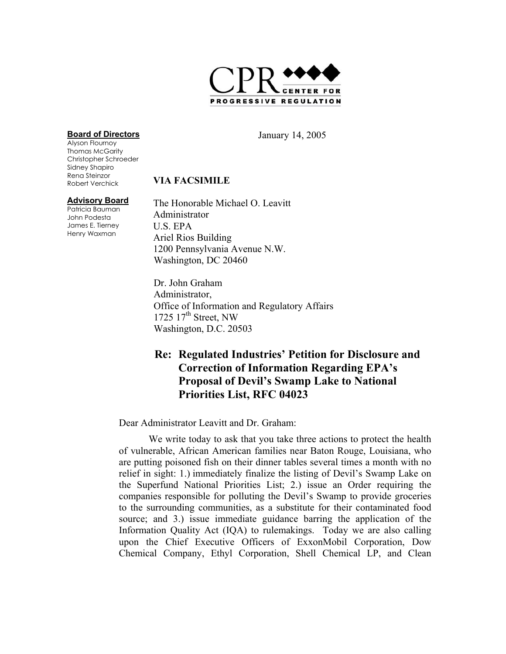

#### **Board of Directors**

Alyson Flournoy Thomas McGarity Christopher Schroeder Sidney Shapiro Rena Steinzor Robert Verchick

#### **Advisory Board**

Patricia Bauman John Podesta James E. Tierney Henry Waxman

January 14, 2005

### **VIA FACSIMILE**

The Honorable Michael O. Leavitt Administrator U.S. EPA Ariel Rios Building 1200 Pennsylvania Avenue N.W. Washington, DC 20460

Dr. John Graham Administrator, Office of Information and Regulatory Affairs 1725  $17<sup>th</sup>$  Street, NW Washington, D.C. 20503

## **Re: Regulated Industries' Petition for Disclosure and Correction of Information Regarding EPA's Proposal of Devil's Swamp Lake to National Priorities List, RFC 04023**

Dear Administrator Leavitt and Dr. Graham:

We write today to ask that you take three actions to protect the health of vulnerable, African American families near Baton Rouge, Louisiana, who are putting poisoned fish on their dinner tables several times a month with no relief in sight: 1.) immediately finalize the listing of Devil's Swamp Lake on the Superfund National Priorities List; 2.) issue an Order requiring the companies responsible for polluting the Devil's Swamp to provide groceries to the surrounding communities, as a substitute for their contaminated food source; and 3.) issue immediate guidance barring the application of the Information Quality Act (IQA) to rulemakings. Today we are also calling upon the Chief Executive Officers of ExxonMobil Corporation, Dow Chemical Company, Ethyl Corporation, Shell Chemical LP, and Clean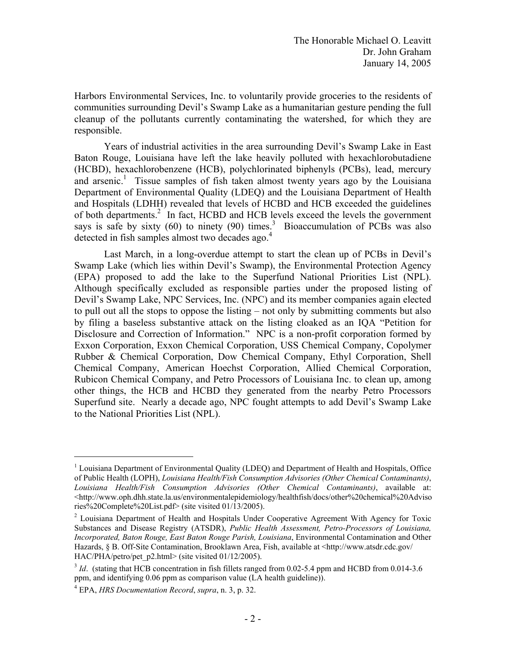Harbors Environmental Services, Inc. to voluntarily provide groceries to the residents of communities surrounding Devil's Swamp Lake as a humanitarian gesture pending the full cleanup of the pollutants currently contaminating the watershed, for which they are responsible.

Years of industrial activities in the area surrounding Devil's Swamp Lake in East Baton Rouge, Louisiana have left the lake heavily polluted with hexachlorobutadiene (HCBD), hexachlorobenzene (HCB), polychlorinated biphenyls (PCBs), lead, mercury and arsenic.<sup>1</sup> Tissue samples of fish taken almost twenty years ago by the Louisiana Department of Environmental Quality (LDEQ) and the Louisiana Department of Health and Hospitals (LDHH) revealed that levels of HCBD and HCB exceeded the guidelines of both departments.<sup>2</sup> In fact, HCBD and HCB levels exceed the levels the government says is safe by sixty (60) to ninety (90) times.<sup>3</sup> Bioaccumulation of PCBs was also detected in fish samples almost two decades ago.<sup>4</sup>

Last March, in a long-overdue attempt to start the clean up of PCBs in Devil's Swamp Lake (which lies within Devil's Swamp), the Environmental Protection Agency (EPA) proposed to add the lake to the Superfund National Priorities List (NPL). Although specifically excluded as responsible parties under the proposed listing of Devil's Swamp Lake, NPC Services, Inc. (NPC) and its member companies again elected to pull out all the stops to oppose the listing – not only by submitting comments but also by filing a baseless substantive attack on the listing cloaked as an IQA "Petition for Disclosure and Correction of Information." NPC is a non-profit corporation formed by Exxon Corporation, Exxon Chemical Corporation, USS Chemical Company, Copolymer Rubber & Chemical Corporation, Dow Chemical Company, Ethyl Corporation, Shell Chemical Company, American Hoechst Corporation, Allied Chemical Corporation, Rubicon Chemical Company, and Petro Processors of Louisiana Inc. to clean up, among other things, the HCB and HCBD they generated from the nearby Petro Processors Superfund site. Nearly a decade ago, NPC fought attempts to add Devil's Swamp Lake to the National Priorities List (NPL).

<sup>&</sup>lt;sup>1</sup> Louisiana Department of Environmental Quality (LDEQ) and Department of Health and Hospitals, Office of Public Health (LOPH), *Louisiana Health/Fish Consumption Advisories (Other Chemical Contaminants)*, *Louisiana Health/Fish Consumption Advisories (Other Chemical Contaminants)*, available at: <http://www.oph.dhh.state.la.us/environmentalepidemiology/healthfish/docs/other%20chemical%20Adviso ries%20Complete%20List.pdf> (site visited 01/13/2005).

 $2$  Louisiana Department of Health and Hospitals Under Cooperative Agreement With Agency for Toxic Substances and Disease Registry (ATSDR), *Public Health Assessment, Petro-Processors of Louisiana, Incorporated, Baton Rouge, East Baton Rouge Parish, Louisiana*, Environmental Contamination and Other Hazards, § B. Off-Site Contamination, Brooklawn Area, Fish, available at <http://www.atsdr.cdc.gov/ HAC/PHA/petro/pet\_p2.html> (site visited 01/12/2005).

<sup>&</sup>lt;sup>3</sup> *Id.* (stating that HCB concentration in fish fillets ranged from 0.02-5.4 ppm and HCBD from 0.014-3.6 ppm, and identifying 0.06 ppm as comparison value (LA health guideline)).

<sup>4</sup> EPA, *HRS Documentation Record*, *supra*, n. 3, p. 32.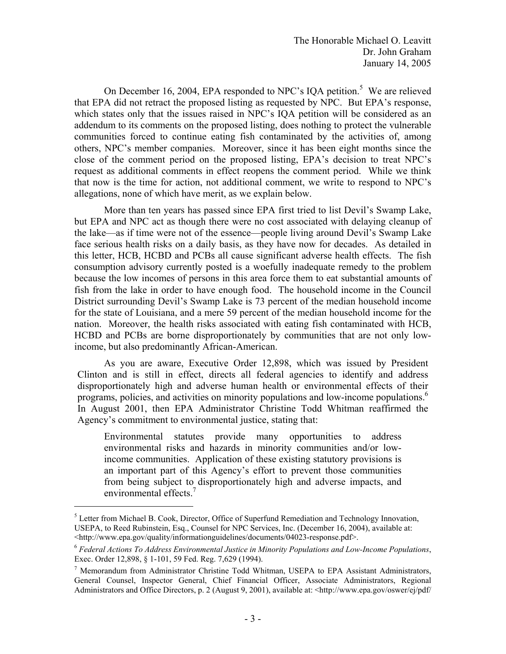The Honorable Michael O. Leavitt Dr. John Graham January 14, 2005

On December 16, 2004, EPA responded to NPC's IQA petition.<sup>5</sup> We are relieved that EPA did not retract the proposed listing as requested by NPC. But EPA's response, which states only that the issues raised in NPC's IQA petition will be considered as an addendum to its comments on the proposed listing, does nothing to protect the vulnerable communities forced to continue eating fish contaminated by the activities of, among others, NPC's member companies. Moreover, since it has been eight months since the close of the comment period on the proposed listing, EPA's decision to treat NPC's request as additional comments in effect reopens the comment period. While we think that now is the time for action, not additional comment, we write to respond to NPC's allegations, none of which have merit, as we explain below.

More than ten years has passed since EPA first tried to list Devil's Swamp Lake, but EPA and NPC act as though there were no cost associated with delaying cleanup of the lake—as if time were not of the essence—people living around Devil's Swamp Lake face serious health risks on a daily basis, as they have now for decades. As detailed in this letter, HCB, HCBD and PCBs all cause significant adverse health effects. The fish consumption advisory currently posted is a woefully inadequate remedy to the problem because the low incomes of persons in this area force them to eat substantial amounts of fish from the lake in order to have enough food. The household income in the Council District surrounding Devil's Swamp Lake is 73 percent of the median household income for the state of Louisiana, and a mere 59 percent of the median household income for the nation. Moreover, the health risks associated with eating fish contaminated with HCB, HCBD and PCBs are borne disproportionately by communities that are not only lowincome, but also predominantly African-American.

programs, policies, and activities on minority populations and low-income populations.<sup>6</sup> As you are aware, Executive Order 12,898, which was issued by President Clinton and is still in effect, directs all federal agencies to identify and address disproportionately high and adverse human health or environmental effects of their In August 2001, then EPA Administrator Christine Todd Whitman reaffirmed the Agency's commitment to environmental justice, stating that:

Environmental statutes provide many opportunities to address environmental risks and hazards in minority communities and/or lowincome communities. Application of these existing statutory provisions is an important part of this Agency's effort to prevent those communities from being subject to disproportionately high and adverse impacts, and environmental effects.<sup>7</sup>

<sup>&</sup>lt;sup>5</sup> Letter from Michael B. Cook, Director, Office of Superfund Remediation and Technology Innovation, USEPA, to Reed Rubinstein, Esq., Counsel for NPC Services, Inc. (December 16, 2004), available at:

<sup>&</sup>lt;sup>6</sup> Federal Actions To Address Environmental Justice in Minority Populations and Low-Income Populations, Exec. Order 12,898, § 1-101, 59 Fed. Reg. 7,629 (1994).

<sup>&</sup>lt;sup>7</sup> Memorandum from Administrator Christine Todd Whitman, USEPA to EPA Assistant Administrators, General Counsel, Inspector General, Chief Financial Officer, Associate Administrators, Regional Administrators and Office Directors, p. 2 (August 9, 2001), available at: <http://www.epa.gov/oswer/ej/pdf/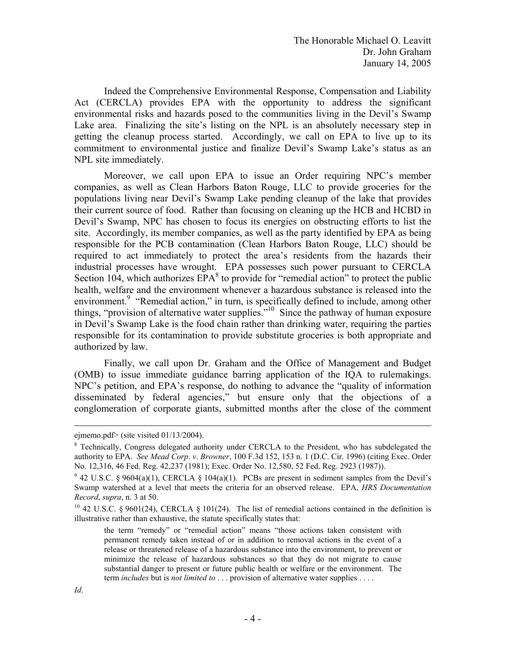Indeed the Comprehensive Environmental Response, Compensation and Liability Act (CERCLA) provides EPA with the opportunity to address the significant environmental risks and hazards posed to the communities living in the Devil's Swamp Lake area. Finalizing the site's listing on the NPL is an absolutely necessary step in getting the cleanup process started. Accordingly, we call on EPA to live up to its commitment to environmental justice and finalize Devil's Swamp Lake's status as an NPL site immediately.

Moreover, we call upon EPA to issue an Order requiring NPC's member companies, as well as Clean Harbors Baton Rouge, LLC to provide groceries for the populations living near Devil's Swamp Lake pending cleanup of the lake that provides their current source of food. Rather than focusing on cleaning up the HCB and HCBD in Devil's Swamp, NPC has chosen to focus its energies on obstructing efforts to list the site. Accordingly, its member companies, as well as the party identified by EPA as being responsible for the PCB contamination (Clean Harbors Baton Rouge, LLC) should be required to act immediately to protect the area's residents from the hazards their industrial processes have wrought. EPA possesses such power pursuant to CERCLA Section 104, which authorizes  $EPA^8$  to provide for "remedial action" to protect the public health, welfare and the environment whenever a hazardous substance is released into the environment.<sup>9</sup> "Remedial action," in turn, is specifically defined to include, among other things, "provision of alternative water supplies."<sup>10</sup> Since the pathway of human exposure in Devil's Swamp Lake is the food chain rather than drinking water, requiring the parties responsible for its contamination to provide substitute groceries is both appropriate and authorized by law.

Finally, we call upon Dr. Graham and the Office of Management and Budget (OMB) to issue immediate guidance barring application of the IQA to rulemakings. NPC's petition, and EPA's response, do nothing to advance the "quality of information disseminated by federal agencies," but ensure only that the objections of a conglomeration of corporate giants, submitted months after the close of the comment

ejmemo.pdf> (site visited 01/13/2004).

<sup>&</sup>lt;sup>8</sup> Technically, Congress delegated authority under CERCLA to the President, who has subdelegated the authority to EPA. *See Mead Corp*. *v*. *Browner*, 100 F.3d 152, 153 n. 1 (D.C. Cir. 1996) (citing Exec. Order No. 12,316, 46 Fed. Reg. 42,237 (1981); Exec. Order No. 12,580, 52 Fed. Reg. 2923 (1987)).

<sup>&</sup>lt;sup>9</sup> 42 U.S.C. § 9604(a)(1), CERCLA § 104(a)(1). PCBs are present in sediment samples from the Devil's Swamp watershed at a level that meets the criteria for an observed release. EPA, *HRS Documentation Record, supra, n.* 3 at 50.<br><sup>10</sup> 42 U.S.C. § 9601(24), CERCLA § 101(24). The list of remedial actions contained in the definition is

illustrative rather than exhaustive, the statute specifically states that:

 substantial danger to present or future public health or welfare or the environment. The the term "remedy" or "remedial action" means "those actions taken consistent with permanent remedy taken instead of or in addition to removal actions in the event of a release or threatened release of a hazardous substance into the environment, to prevent or minimize the release of hazardous substances so that they do not migrate to cause term *includes* but is *not limited to* . . . provision of alternative water supplies . . . .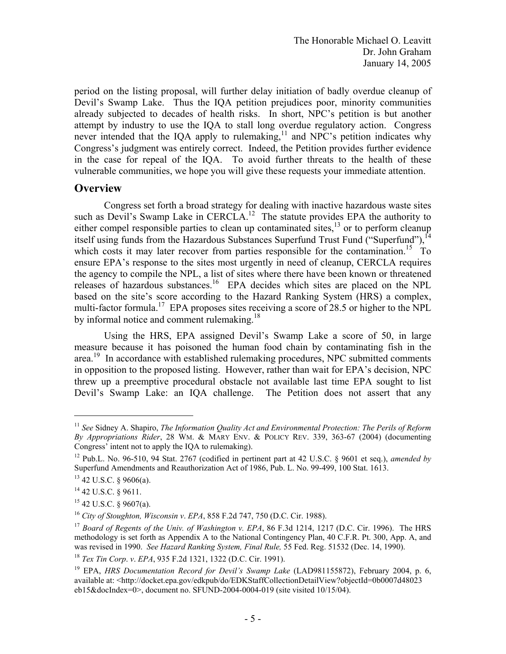period on the listing proposal, will further delay initiation of badly overdue cleanup of Devil's Swamp Lake. Thus the IQA petition prejudices poor, minority communities already subjected to decades of health risks. In short, NPC's petition is but another attempt by industry to use the IQA to stall long overdue regulatory action. Congress never intended that the IQA apply to rulemaking, $^{11}$  and NPC's petition indicates why Congress's judgment was entirely correct. Indeed, the Petition provides further evidence in the case for repeal of the IQA. To avoid further threats to the health of these vulnerable communities, we hope you will give these requests your immediate attention.

## **Overview**

Congress set forth a broad strategy for dealing with inactive hazardous waste sites such as Devil's Swamp Lake in CERCLA.<sup>12</sup> The statute provides EPA the authority to either compel responsible parties to clean up contaminated sites, $^{13}$  or to perform cleanup itself using funds from the Hazardous Substances Superfund Trust Fund ("Superfund"),<sup>14</sup> which costs it may later recover from parties responsible for the contamination.<sup>15</sup> To ensure EPA's response to the sites most urgently in need of cleanup, CERCLA requires the agency to compile the NPL, a list of sites where there have been known or threatened releases of hazardous substances.<sup>16</sup> EPA decides which sites are placed on the NPL based on the site's score according to the Hazard Ranking System (HRS) a complex, multi-factor formula.<sup>17</sup> EPA proposes sites receiving a score of 28.5 or higher to the NPL by informal notice and comment rulemaking.<sup>18</sup>

Using the HRS, EPA assigned Devil's Swamp Lake a score of 50, in large measure because it has poisoned the human food chain by contaminating fish in the area.<sup>19</sup> In accordance with established rulemaking procedures, NPC submitted comments in opposition to the proposed listing. However, rather than wait for EPA's decision, NPC threw up a preemptive procedural obstacle not available last time EPA sought to list Devil's Swamp Lake: an IQA challenge. The Petition does not assert that any

<sup>&</sup>lt;sup>11</sup> See Sidney A. Shapiro, *The Information Quality Act and Environmental Protection: The Perils of Reform By Appropriations Rider*, 28 WM. & MARY ENV. & POLICY REV. 339, 363-67 (2004) (documenting Congress' intent not to apply the IQA to rulemaking).

<sup>12</sup> Pub.L. No. 96-510, 94 Stat. 2767 (codified in pertinent part at 42 U.S.C. § 9601 et seq.), *amended by*  Superfund Amendments and Reauthorization Act of 1986, Pub. L. No. 99-499, 100 Stat. 1613.

 $13$  42 U.S.C. § 9606(a).

<sup>14 42</sup> U.S.C. § 9611.

 $15$  42 U.S.C. § 9607(a).

<sup>&</sup>lt;sup>16</sup> City of Stoughton, Wisconsin v. *EPA*, 858 F.2d 747, 750 (D.C. Cir. 1988).<br><sup>17</sup> *Board of Regents of the Univ. of Washington v. <i>EPA*, 86 F.3d 1214, 1217 (D.C. Cir. 1996). The HRS methodology is set forth as Appendix A to the National Contingency Plan, 40 C.F.R. Pt. 300, App. A, and was revised in 1990. *See Hazard Ranking System, Final Rule,* 55 Fed. Reg. 51532 (Dec. 14, 1990). 18 *Tex Tin Corp*. *v*. *EPA*, 935 F.2d 1321, 1322 (D.C. Cir. 1991).

<sup>19</sup> EPA, *HRS Documentation Record for Devil's Swamp Lake* (LAD981155872), February 2004, p. 6, available at: <http://docket.epa.gov/edkpub/do/EDKStaffCollectionDetailView?objectId=0b0007d48023 eb15&docIndex=0>, document no. SFUND-2004-0004-019 (site visited 10/15/04).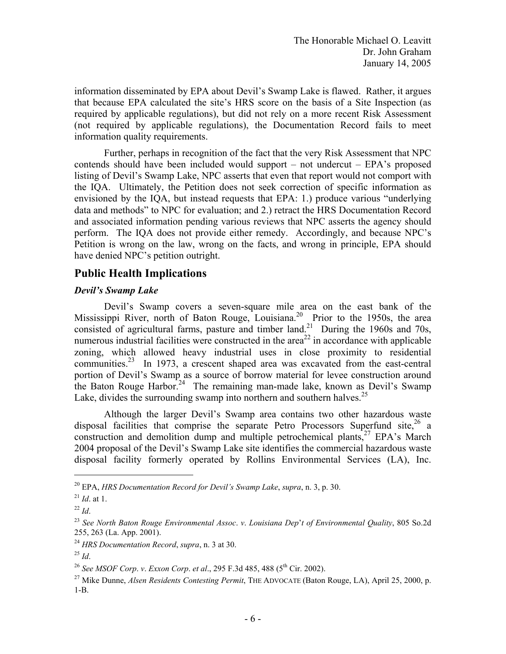information disseminated by EPA about Devil's Swamp Lake is flawed. Rather, it argues that because EPA calculated the site's HRS score on the basis of a Site Inspection (as required by applicable regulations), but did not rely on a more recent Risk Assessment (not required by applicable regulations), the Documentation Record fails to meet information quality requirements.

Further, perhaps in recognition of the fact that the very Risk Assessment that NPC contends should have been included would support – not undercut – EPA's proposed listing of Devil's Swamp Lake, NPC asserts that even that report would not comport with the IQA. Ultimately, the Petition does not seek correction of specific information as envisioned by the IQA, but instead requests that EPA: 1.) produce various "underlying data and methods" to NPC for evaluation; and 2.) retract the HRS Documentation Record and associated information pending various reviews that NPC asserts the agency should perform. The IQA does not provide either remedy. Accordingly, and because NPC's Petition is wrong on the law, wrong on the facts, and wrong in principle, EPA should have denied NPC's petition outright.

## **Public Health Implications**

### *Devil's Swamp Lake*

Lake, divides the surrounding swamp into northern and southern halves. $25$ Devil's Swamp covers a seven-square mile area on the east bank of the Mississippi River, north of Baton Rouge, Louisiana.<sup>20</sup> Prior to the 1950s, the area consisted of agricultural farms, pasture and timber land.<sup>21</sup> During the 1960s and 70s, numerous industrial facilities were constructed in the area<sup>22</sup> in accordance with applicable zoning, which allowed heavy industrial uses in close proximity to residential communities.23 In 1973, a crescent shaped area was excavated from the east-central portion of Devil's Swamp as a source of borrow material for levee construction around the Baton Rouge Harbor.<sup>24</sup> The remaining man-made lake, known as Devil's Swamp

Although the larger Devil's Swamp area contains two other hazardous waste disposal facilities that comprise the separate Petro Processors Superfund site,  $26$  a construction and demolition dump and multiple petrochemical plants,<sup>27</sup> EPA's March 2004 proposal of the Devil's Swamp Lake site identifies the commercial hazardous waste disposal facility formerly operated by Rollins Environmental Services (LA), Inc.

<sup>20</sup> EPA, *HRS Documentation Record for Devil's Swamp Lake*, *supra*, n. 3, p. 30.

 $^{21}$  *Id.* at 1.

<sup>22</sup>*Id*. 23 *See North Baton Rouge Environmental Assoc*. *v*. *Louisiana Dep*'*t of Environmental Quality*, 805 So.2d 255, 263 (La. App. 2001).

<sup>&</sup>lt;sup>24</sup> HRS Documentation Record, *supra*, n. 3 at 30.<br><sup>25</sup> *Id.* 26 *See MSOF Corp. v. Exxon Corp. et al.*, 295 F.3d 485, 488 (5<sup>th</sup> Cir. 2002).

<sup>&</sup>lt;sup>27</sup> Mike Dunne, *Alsen Residents Contesting Permit*, THE ADVOCATE (Baton Rouge, LA), April 25, 2000, p. 1-B.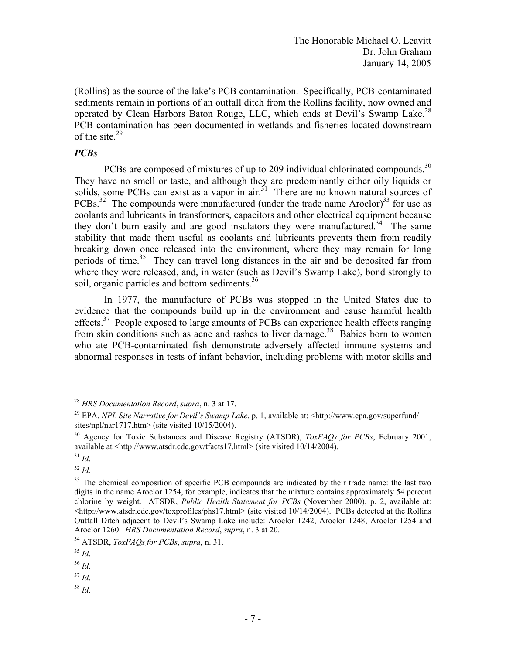operated by Clean Harbors Baton Rouge, LLC, which ends at Devil's Swamp Lake.<sup>28</sup> (Rollins) as the source of the lake's PCB contamination. Specifically, PCB-contaminated sediments remain in portions of an outfall ditch from the Rollins facility, now owned and PCB contamination has been documented in wetlands and fisheries located downstream of the site. $29$ 

## *PCBs*

PCBs are composed of mixtures of up to 209 individual chlorinated compounds.<sup>30</sup> soil, organic particles and bottom sediments.<sup>36</sup> They have no smell or taste, and although they are predominantly either oily liquids or solids, some PCBs can exist as a vapor in air. $31$  There are no known natural sources of PCBs.<sup>32</sup> The compounds were manufactured (under the trade name Aroclor)<sup>33</sup> for use as coolants and lubricants in transformers, capacitors and other electrical equipment because they don't burn easily and are good insulators they were manufactured.<sup>34</sup> The same stability that made them useful as coolants and lubricants prevents them from readily breaking down once released into the environment, where they may remain for long periods of time.<sup>35</sup> They can travel long distances in the air and be deposited far from where they were released, and, in water (such as Devil's Swamp Lake), bond strongly to

In 1977, the manufacture of PCBs was stopped in the United States due to evidence that the compounds build up in the environment and cause harmful health effects.<sup>37</sup> People exposed to large amounts of PCBs can experience health effects ranging from skin conditions such as acne and rashes to liver damage.<sup>38</sup> Babies born to women who ate PCB-contaminated fish demonstrate adversely affected immune systems and abnormal responses in tests of infant behavior, including problems with motor skills and

- 37 *Id*. 38 *Id*.
- 

<sup>28</sup>*HRS Documentation Record*, *supra*, n. 3 at 17.

<sup>29</sup> EPA, *NPL Site Narrative for Devil's Swamp Lake*, p. 1, available at: <http://www.epa.gov/superfund/ sites/npl/nar1717.htm> (site visited 10/15/2004).

<sup>30</sup> Agency for Toxic Substances and Disease Registry (ATSDR), *ToxFAQs for PCBs*, February 2001, available at <http://www.atsdr.cdc.gov/tfacts17.html> (site visited 10/14/2004).

<sup>31</sup> *Id*. 32 *Id*.

<sup>&</sup>lt;sup>33</sup> The chemical composition of specific PCB compounds are indicated by their trade name: the last two digits in the name Aroclor 1254, for example, indicates that the mixture contains approximately 54 percent chlorine by weight. ATSDR, *Public Health Statement for PCBs* (November 2000), p. 2, available at:  $\langle$ http://www.atsdr.cdc.gov/toxprofiles/phs17.html> (site visited 10/14/2004). PCBs detected at the Rollins Outfall Ditch adjacent to Devil's Swamp Lake include: Aroclor 1242, Aroclor 1248, Aroclor 1254 and Aroclor 1260. *HRS Documentation Record*, *supra*, n. 3 at 20. 34 ATSDR, *ToxFAQs for PCBs*, *supra*, n. 31. 35 *Id*.

<sup>36</sup>*Id*.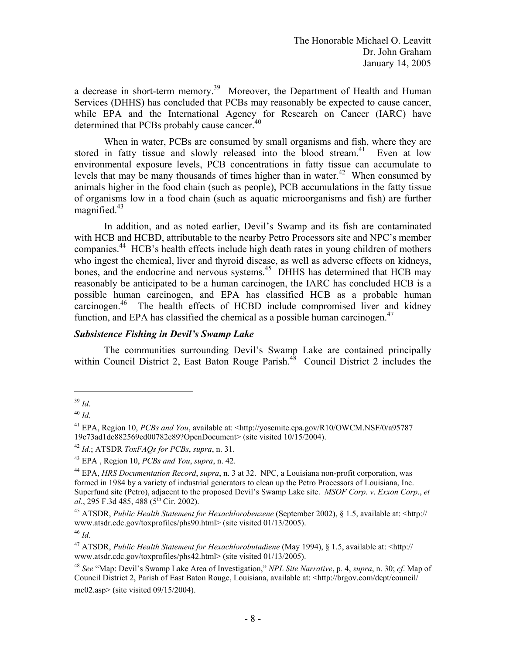determined that PCBs probably cause cancer.<sup>40</sup> a decrease in short-term memory.<sup>39</sup> Moreover, the Department of Health and Human Services (DHHS) has concluded that PCBs may reasonably be expected to cause cancer, while EPA and the International Agency for Research on Cancer (IARC) have

When in water, PCBs are consumed by small organisms and fish, where they are stored in fatty tissue and slowly released into the blood stream.<sup>41</sup> Even at low environmental exposure levels, PCB concentrations in fatty tissue can accumulate to levels that may be many thousands of times higher than in water.<sup>42</sup> When consumed by animals higher in the food chain (such as people), PCB accumulations in the fatty tissue of organisms low in a food chain (such as aquatic microorganisms and fish) are further magnified. $43$ 

function, and EPA has classified the chemical as a possible human carcinogen.<sup>47</sup> In addition, and as noted earlier, Devil's Swamp and its fish are contaminated with HCB and HCBD, attributable to the nearby Petro Processors site and NPC's member companies.<sup>44</sup> HCB's health effects include high death rates in young children of mothers who ingest the chemical, liver and thyroid disease, as well as adverse effects on kidneys, bones, and the endocrine and nervous systems.<sup>45</sup> DHHS has determined that HCB may reasonably be anticipated to be a human carcinogen, the IARC has concluded HCB is a possible human carcinogen, and EPA has classified HCB as a probable human carcinogen.<sup>46</sup> The health effects of HCBD include compromised liver and kidney

### *Subsistence Fishing in Devil's Swamp Lake*

The communities surrounding Devil's Swamp Lake are contained principally within Council District 2, East Baton Rouge Parish.<sup>48</sup> Council District 2 includes the

<sup>39</sup>*Id*.

<sup>40</sup>*Id*. 41 EPA, Region 10, *PCBs and You*, available at: <http://yosemite.epa.gov/R10/OWCM.NSF/0/a95787 19c73ad1de882569ed00782e89?OpenDocument> (site visited 10/15/2004).

<sup>&</sup>lt;sup>42</sup> *Id.*; ATSDR *ToxFAQs for PCBs, supra, n.* 31.<br><sup>43</sup> EPA, Region 10, *PCBs and You, supra, n.* 42.<br><sup>44</sup> EPA, *HRS Documentation Record, supra, n.* 3 at 32. NPC, a Louisiana non-profit corporation, was formed in 1984 by a variety of industrial generators to clean up the Petro Processors of Louisiana, Inc. Superfund site (Petro), adjacent to the proposed Devil's Swamp Lake site. *MSOF Corp*. *v*. *Exxon Corp*., *et al.*, 295 F.3d 485, 488 (5<sup>th</sup> Cir. 2002).

<sup>45</sup> ATSDR, *Public Health Statement for Hexachlorobenzene* (September 2002), § 1.5, available at: <http:// www.atsdr.cdc.gov/toxprofiles/phs90.html> (site visited 01/13/2005). 46 *Id*.

<sup>47</sup> ATSDR, *Public Health Statement for Hexachlorobutadiene* (May 1994), § 1.5, available at: <http:// www.atsdr.cdc.gov/toxprofiles/phs42.html> (site visited 01/13/2005). 48 *See* "Map: Devil's Swamp Lake Area of Investigation," *NPL Site Narrative*, p. 4, *supra*, n. 30; *cf*. Map of

Council District 2, Parish of East Baton Rouge, Louisiana, available at: <http://brgov.com/dept/council/ mc02.asp> (site visited 09/15/2004).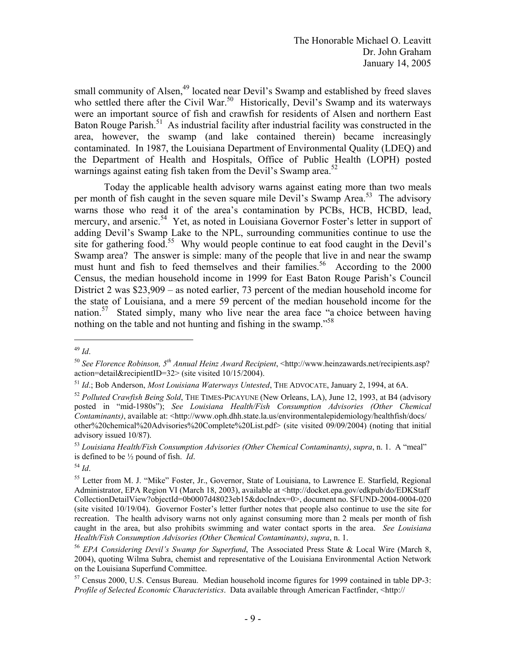warnings against eating fish taken from the Devil's Swamp area.<sup>52</sup> small community of Alsen,<sup>49</sup> located near Devil's Swamp and established by freed slaves who settled there after the Civil War.<sup>50</sup> Historically, Devil's Swamp and its waterways were an important source of fish and crawfish for residents of Alsen and northern East Baton Rouge Parish.<sup>51</sup> As industrial facility after industrial facility was constructed in the area, however, the swamp (and lake contained therein) became increasingly contaminated. In 1987, the Louisiana Department of Environmental Quality (LDEQ) and the Department of Health and Hospitals, Office of Public Health (LOPH) posted

Today the applicable health advisory warns against eating more than two meals per month of fish caught in the seven square mile Devil's Swamp Area.<sup>53</sup> The advisory warns those who read it of the area's contamination by PCBs, HCB, HCBD, lead, mercury, and arsenic.<sup>54</sup> Yet, as noted in Louisiana Governor Foster's letter in support of adding Devil's Swamp Lake to the NPL, surrounding communities continue to use the site for gathering food.<sup>55</sup> Why would people continue to eat food caught in the Devil's Swamp area? The answer is simple: many of the people that live in and near the swamp must hunt and fish to feed themselves and their families.<sup>56</sup> According to the  $2000$ Census, the median household income in 1999 for East Baton Rouge Parish's Council District 2 was \$23,909 – as noted earlier, 73 percent of the median household income for the state of Louisiana, and a mere 59 percent of the median household income for the nation.<sup>57</sup> Stated simply, many who live near the area face "a choice between having nothing on the table and not hunting and fishing in the swamp."<sup>58</sup>

<sup>49</sup>*Id*.

<sup>50</sup>*See Florence Robinson, 5th Annual Heinz Award Recipient*, <http://www.heinzawards.net/recipients.asp? action=detail&recipientID=32> (site visited 10/15/2004).

<sup>&</sup>lt;sup>51</sup> Id.; Bob Anderson, *Most Louisiana Waterways Untested*, THE ADVOCATE, January 2, 1994, at 6A.<br><sup>52</sup> Polluted Crawfish Being Sold, THE TIMES-PICAYUNE (New Orleans, LA), June 12, 1993, at B4 (advisory

posted in "mid-1980s"); *See Louisiana Health/Fish Consumption Advisories (Other Chemical Contaminants*), available at: <http://www.oph.dhh.state.la.us/environmentalepidemiology/healthfish/docs/ other%20chemical%20Advisories%20Complete%20List.pdf> (site visited 09/09/2004) (noting that initial advisory issued 10/87).

<sup>53</sup>*Louisiana Health/Fish Consumption Advisories (Other Chemical Contaminants)*, *supra*, n. 1. A "meal" is defined to be <sup>1/2</sup> pound of fish. *Id*.<br><sup>54</sup> *Id*. 54 *Id*. 55 Letter from M. J. "Mike" Foster, Jr., Governor, State of Louisiana, to Lawrence E. Starfield, Regional

 caught in the area, but also prohibits swimming and water contact sports in the area. *See Louisiana*  Administrator, EPA Region VI (March 18, 2003), available at <http://docket.epa.gov/edkpub/do/EDKStaff CollectionDetailView?objectId=0b0007d48023eb15&docIndex=0>, document no. SFUND-2004-0004-020 (site visited 10/19/04). Governor Foster's letter further notes that people also continue to use the site for recreation. The health advisory warns not only against consuming more than 2 meals per month of fish *Health/Fish Consumption Advisories (Other Chemical Contaminants), <i>supra*, n. 1.<br><sup>56</sup> *EPA Considering Devil's Swamp for Superfund*, The Associated Press State & Local Wire (March 8,

<sup>2004),</sup> quoting Wilma Subra, chemist and representative of the Louisiana Environmental Action Network on the Louisiana Superfund Committee.

<sup>57</sup> Census 2000, U.S. Census Bureau. Median household income figures for 1999 contained in table DP-3: *Profile of Selected Economic Characteristics*. Data available through American Factfinder, <http://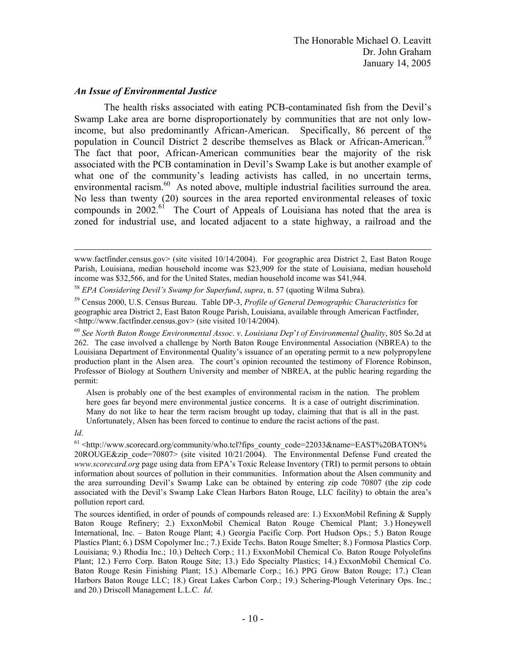### *An Issue of Environmental Justice*

 population in Council District 2 describe themselves as Black or African-American.59 The health risks associated with eating PCB-contaminated fish from the Devil's Swamp Lake area are borne disproportionately by communities that are not only lowincome, but also predominantly African-American. Specifically, 86 percent of the The fact that poor, African-American communities bear the majority of the risk associated with the PCB contamination in Devil's Swamp Lake is but another example of what one of the community's leading activists has called, in no uncertain terms, environmental racism.<sup>60</sup> As noted above, multiple industrial facilities surround the area. No less than twenty (20) sources in the area reported environmental releases of toxic compounds in  $2002<sup>61</sup>$ . The Court of Appeals of Louisiana has noted that the area is zoned for industrial use, and located adjacent to a state highway, a railroad and the

 Alsen is probably one of the best examples of environmental racism in the nation. The problem Many do not like to hear the term racism brought up today, claiming that that is all in the past. here goes far beyond mere environmental justice concerns. It is a case of outright discrimination. Unfortunately, Alsen has been forced to continue to endure the racist actions of the past.

Id.

www.factfinder.census.gov> (site visited 10/14/2004). For geographic area District 2, East Baton Rouge Parish, Louisiana, median household income was \$23,909 for the state of Louisiana, median household income was \$32,566, and for the United States, median household income was \$41,944.

<sup>58</sup>*EPA Considering Devil's Swamp for Superfund*, *supra*, n. 57 (quoting Wilma Subra). 59 Census 2000, U.S. Census Bureau. Table DP-3, *Profile of General Demographic Characteristics* for

geographic area District 2, East Baton Rouge Parish, Louisiana, available through American Factfinder,

 Professor of Biology at Southern University and member of NBREA, at the public hearing regarding the <http://www.factfinder.census.gov> (site visited 10/14/2004). 60 *See North Baton Rouge Environmental Assoc*. *v*. *Louisiana Dep*'*t of Environmental Quality*, 805 So.2d at 262. The case involved a challenge by North Baton Rouge Environmental Association (NBREA) to the Louisiana Department of Environmental Quality's issuance of an operating permit to a new polypropylene production plant in the Alsen area. The court's opinion recounted the testimony of Florence Robinson, permit:

 *www.scorecard.org* page using data from EPA's Toxic Release Inventory (TRI) to permit persons to obtain <sup>61</sup> <http://www.scorecard.org/community/who.tcl?fips\_county\_code=22033&name=EAST%20BATON% 20ROUGE&zip\_code=70807> (site visited  $10/21/2004$ ). The Environmental Defense Fund created the information about sources of pollution in their communities. Information about the Alsen community and the area surrounding Devil's Swamp Lake can be obtained by entering zip code 70807 (the zip code associated with the Devil's Swamp Lake Clean Harbors Baton Rouge, LLC facility) to obtain the area's pollution report card.

 Harbors Baton Rouge LLC; 18.) Great Lakes Carbon Corp.; 19.) Schering-Plough Veterinary Ops. Inc.; and 20.) Driscoll Management L.L.C. *Id*. The sources identified, in order of pounds of compounds released are: 1.) ExxonMobil Refining & Supply Baton Rouge Refinery; 2.) ExxonMobil Chemical Baton Rouge Chemical Plant; 3.) Honeywell International, Inc. – Baton Rouge Plant; 4.) Georgia Pacific Corp. Port Hudson Ops.; 5.) Baton Rouge Plastics Plant; 6.) DSM Copolymer Inc.; 7.) Exide Techs. Baton Rouge Smelter; 8.) Formosa Plastics Corp. Louisiana; 9.) Rhodia Inc.; 10.) Deltech Corp.; 11.) ExxonMobil Chemical Co. Baton Rouge Polyolefins Plant; 12.) Ferro Corp. Baton Rouge Site; 13.) Edo Specialty Plastics; 14.) ExxonMobil Chemical Co. Baton Rouge Resin Finishing Plant; 15.) Albemarle Corp.; 16.) PPG Grow Baton Rouge; 17.) Clean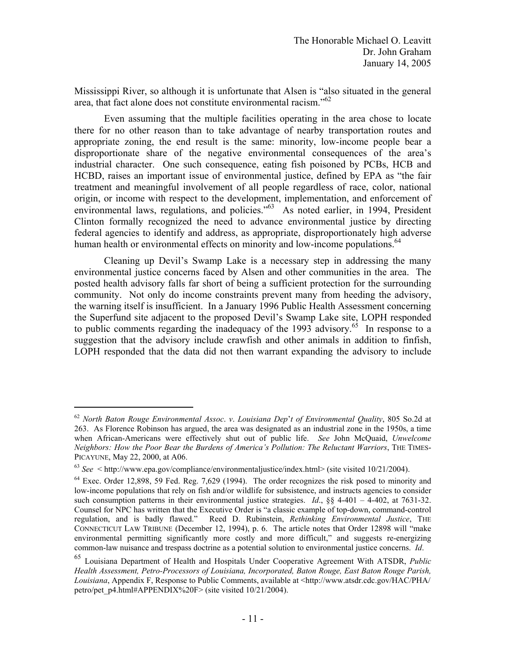area, that fact alone does not constitute environmental racism."<sup>62</sup> Mississippi River, so although it is unfortunate that Alsen is "also situated in the general

human health or environmental effects on minority and low-income populations.<sup>64</sup> Even assuming that the multiple facilities operating in the area chose to locate there for no other reason than to take advantage of nearby transportation routes and appropriate zoning, the end result is the same: minority, low-income people bear a disproportionate share of the negative environmental consequences of the area's industrial character. One such consequence, eating fish poisoned by PCBs, HCB and HCBD, raises an important issue of environmental justice, defined by EPA as "the fair treatment and meaningful involvement of all people regardless of race, color, national origin, or income with respect to the development, implementation, and enforcement of environmental laws, regulations, and policies."<sup>63</sup> As noted earlier, in 1994, President Clinton formally recognized the need to advance environmental justice by directing federal agencies to identify and address, as appropriate, disproportionately high adverse

Cleaning up Devil's Swamp Lake is a necessary step in addressing the many environmental justice concerns faced by Alsen and other communities in the area. The posted health advisory falls far short of being a sufficient protection for the surrounding community. Not only do income constraints prevent many from heeding the advisory, the warning itself is insufficient. In a January 1996 Public Health Assessment concerning the Superfund site adjacent to the proposed Devil's Swamp Lake site, LOPH responded to public comments regarding the inadequacy of the 1993 advisory.<sup>65</sup> In response to a suggestion that the advisory include crawfish and other animals in addition to finfish, LOPH responded that the data did not then warrant expanding the advisory to include

<sup>62</sup>*North Baton Rouge Environmental Assoc*. *v*. *Louisiana Dep*'*t of Environmental Quality*, 805 So.2d at 263. As Florence Robinson has argued, the area was designated as an industrial zone in the 1950s, a time when African-Americans were effectively shut out of public life. *See* John McQuaid, *Unwelcome Neighbors: How the Poor Bear the Burdens of America's Pollution: The Reluctant Warriors*, THE TIMES-PICAYUNE, May 22, 2000, at A06.<br>  $^{63}$  *See* < http://www.epa.gov/compliance/environmentaljustice/index.html> (site visited 10/21/2004).<br>  $^{64}$  Exec. Order 12,898, 59 Fed. Reg. 7,629 (1994). The order recognizes the ris

 $^{63}$  See  $\leq$  http://www.epa.gov/compliance/environmental justice/index.html> (site visited 10/21/2004).

low-income populations that rely on fish and/or wildlife for subsistence, and instructs agencies to consider such consumption patterns in their environmental justice strategies. *Id.*,  $\S$ § 4-401 – 4-402, at 7631-32. Counsel for NPC has written that the Executive Order is "a classic example of top-down, command-control regulation, and is badly flawed." Reed D. Rubinstein, *Rethinking Environmental Justice*, THE CONNECTICUT LAW TRIBUNE (December 12, 1994), p. 6. The article notes that Order 12898 will "make environmental permitting significantly more costly and more difficult," and suggests re-energizing common-law nuisance and trespass doctrine as a potential solution to environmental justice concerns. *Id*.

<sup>65</sup> Louisiana Department of Health and Hospitals Under Cooperative Agreement With ATSDR, *Public Health Assessment, Petro-Processors of Louisiana, Incorporated, Baton Rouge, East Baton Rouge Parish, Louisiana*, Appendix F, Response to Public Comments, available at <http://www.atsdr.cdc.gov/HAC/PHA/ petro/pet\_p4.html#APPENDIX%20F> (site visited 10/21/2004).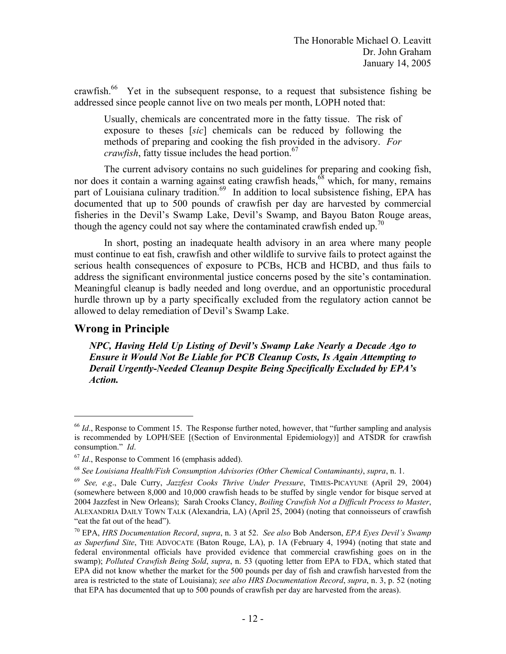crawfish.<sup>66</sup> Yet in the subsequent response, to a request that subsistence fishing be addressed since people cannot live on two meals per month, LOPH noted that:

Usually, chemicals are concentrated more in the fatty tissue. The risk of exposure to theses [*sic*] chemicals can be reduced by following the methods of preparing and cooking the fish provided in the advisory. *For crawfish*, fatty tissue includes the head portion.<sup>67</sup>

The current advisory contains no such guidelines for preparing and cooking fish, nor does it contain a warning against eating crawfish heads, $68$  which, for many, remains part of Louisiana culinary tradition.<sup>69</sup> In addition to local subsistence fishing, EPA has documented that up to 500 pounds of crawfish per day are harvested by commercial fisheries in the Devil's Swamp Lake, Devil's Swamp, and Bayou Baton Rouge areas, though the agency could not say where the contaminated crawfish ended up.<sup>70</sup>

In short, posting an inadequate health advisory in an area where many people must continue to eat fish, crawfish and other wildlife to survive fails to protect against the serious health consequences of exposure to PCBs, HCB and HCBD, and thus fails to address the significant environmental justice concerns posed by the site's contamination. Meaningful cleanup is badly needed and long overdue, and an opportunistic procedural hurdle thrown up by a party specifically excluded from the regulatory action cannot be allowed to delay remediation of Devil's Swamp Lake.

# **Wrong in Principle**

1

*NPC, Having Held Up Listing of Devil's Swamp Lake Nearly a Decade Ago to Ensure it Would Not Be Liable for PCB Cleanup Costs, Is Again Attempting to Derail Urgently-Needed Cleanup Despite Being Specifically Excluded by EPA's Action.* 

<sup>&</sup>lt;sup>66</sup> *Id.*, Response to Comment 15. The Response further noted, however, that "further sampling and analysis" is recommended by LOPH/SEE [(Section of Environmental Epidemiology)] and ATSDR for crawfish consumption." *Id*.<br><sup>67</sup> *Id.*, Response to Comment 16 (emphasis added).

<sup>68</sup>*See Louisiana Health/Fish Consumption Advisories (Other Chemical Contaminants)*, *supra*, n. 1.

 2004 Jazzfest in New Orleans); Sarah Crooks Clancy, *Boiling Crawfish Not a Difficult Process to Master*, <sup>69</sup>*See, e*.*g*., Dale Curry, *Jazzfest Cooks Thrive Under Pressure*, TIMES-PICAYUNE (April 29, 2004) (somewhere between 8,000 and 10,000 crawfish heads to be stuffed by single vendor for bisque served at ALEXANDRIA DAILY TOWN TALK (Alexandria, LA) (April 25, 2004) (noting that connoisseurs of crawfish "eat the fat out of the head").

 70 EPA, *HRS Documentation Record*, *supra*, n. 3 at 52. *See also* Bob Anderson, *EPA Eyes Devil's Swamp*  federal environmental officials have provided evidence that commercial crawfishing goes on in the *as Superfund Site*, THE ADVOCATE (Baton Rouge, LA), p. 1A (February 4, 1994) (noting that state and swamp); *Polluted Crawfish Being Sold*, *supra*, n. 53 (quoting letter from EPA to FDA, which stated that EPA did not know whether the market for the 500 pounds per day of fish and crawfish harvested from the area is restricted to the state of Louisiana); *see also HRS Documentation Record*, *supra*, n. 3, p. 52 (noting that EPA has documented that up to 500 pounds of crawfish per day are harvested from the areas).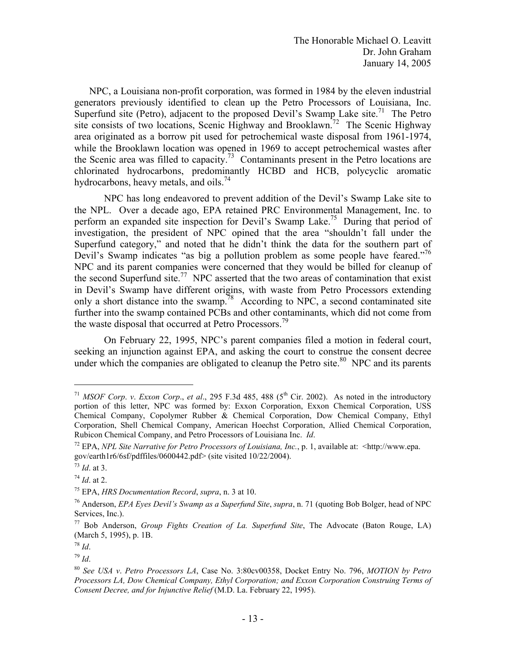The Honorable Michael O. Leavitt Dr. John Graham January 14, 2005

hydrocarbons, heavy metals, and oils.<sup>74</sup> NPC, a Louisiana non-profit corporation, was formed in 1984 by the eleven industrial generators previously identified to clean up the Petro Processors of Louisiana, Inc. Superfund site (Petro), adjacent to the proposed Devil's Swamp Lake site.<sup>71</sup> The Petro site consists of two locations, Scenic Highway and Brooklawn.<sup>72</sup> The Scenic Highway area originated as a borrow pit used for petrochemical waste disposal from 1961-1974, while the Brooklawn location was opened in 1969 to accept petrochemical wastes after the Scenic area was filled to capacity.<sup>73</sup> Contaminants present in the Petro locations are chlorinated hydrocarbons, predominantly HCBD and HCB, polycyclic aromatic

NPC has long endeavored to prevent addition of the Devil's Swamp Lake site to the NPL. Over a decade ago, EPA retained PRC Environmental Management, Inc. to perform an expanded site inspection for Devil's Swamp Lake.<sup>75</sup> During that period of investigation, the president of NPC opined that the area "shouldn't fall under the Superfund category," and noted that he didn't think the data for the southern part of Devil's Swamp indicates "as big a pollution problem as some people have feared."<sup>76</sup> NPC and its parent companies were concerned that they would be billed for cleanup of the second Superfund site.<sup>77</sup> NPC asserted that the two areas of contamination that exist in Devil's Swamp have different origins, with waste from Petro Processors extending only a short distance into the swamp.<sup>78</sup> According to NPC, a second contaminated site further into the swamp contained PCBs and other contaminants, which did not come from the waste disposal that occurred at Petro Processors.<sup>79</sup>

On February 22, 1995, NPC's parent companies filed a motion in federal court, seeking an injunction against EPA, and asking the court to construe the consent decree under which the companies are obligated to cleanup the Petro site.<sup>80</sup> NPC and its parents

 portion of this letter, NPC was formed by: Exxon Corporation, Exxon Chemical Corporation, USS Chemical Company, Copolymer Rubber & Chemical Corporation, Dow Chemical Company, Ethyl <sup>71</sup> *MSOF Corp. v. Exxon Corp., et al.*, 295 F.3d 485, 488 (5<sup>th</sup> Cir. 2002). As noted in the introductory Corporation, Shell Chemical Company, American Hoechst Corporation, Allied Chemical Corporation, Rubicon Chemical Company, and Petro Processors of Louisiana Inc. *Id.* <sup>72</sup> EPA, *NPL Site Narrative for Petro Processors of Louisiana, Inc.*, p. 1, available at: <http://www.epa.

gov/earth1r6/6sf/pdffiles/0600442.pdf> (site visited 10/22/2004).

<sup>73</sup>*Id*. at 3.

<sup>&</sup>lt;sup>74</sup> Id. at 2.<br><sup>75</sup> EPA, *HRS Documentation Record, supra*, n. 3 at 10.<br><sup>76</sup> Anderson, *EPA Eyes Devil's Swamp as a Superfund Site*, *supra*, n. 71 (quoting Bob Bolger, head of NPC Services, Inc.).

<sup>77</sup> Bob Anderson, *Group Fights Creation of La. Superfund Site*, The Advocate (Baton Rouge, LA) (March 5, 1995), p. 1B.

<sup>78</sup> *Id*. 79 *Id*.

<sup>80</sup>*See USA v*. *Petro Processors LA*, Case No. 3:80cv00358, Docket Entry No. 796, *MOTION by Petro Processors LA, Dow Chemical Company, Ethyl Corporation; and Exxon Corporation Construing Terms of Consent Decree, and for Injunctive Relief* (M.D. La. February 22, 1995).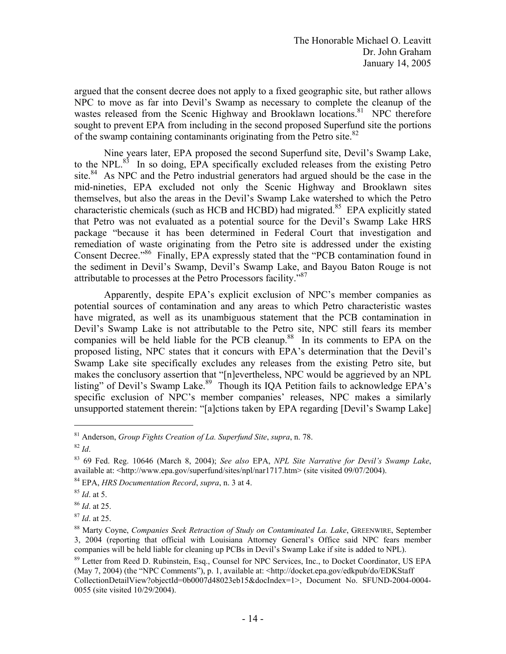of the swamp containing contaminants originating from the Petro site.<sup>82</sup> argued that the consent decree does not apply to a fixed geographic site, but rather allows NPC to move as far into Devil's Swamp as necessary to complete the cleanup of the wastes released from the Scenic Highway and Brooklawn locations.<sup>81</sup> NPC therefore sought to prevent EPA from including in the second proposed Superfund site the portions

attributable to processes at the Petro Processors facility."<sup>87</sup> Nine years later, EPA proposed the second Superfund site, Devil's Swamp Lake, to the NPL. $83$  In so doing, EPA specifically excluded releases from the existing Petro site.<sup>84</sup> As NPC and the Petro industrial generators had argued should be the case in the mid-nineties, EPA excluded not only the Scenic Highway and Brooklawn sites themselves, but also the areas in the Devil's Swamp Lake watershed to which the Petro characteristic chemicals (such as HCB and HCBD) had migrated.<sup>85</sup> EPA explicitly stated that Petro was not evaluated as a potential source for the Devil's Swamp Lake HRS package "because it has been determined in Federal Court that investigation and remediation of waste originating from the Petro site is addressed under the existing Consent Decree."86 Finally, EPA expressly stated that the "PCB contamination found in the sediment in Devil's Swamp, Devil's Swamp Lake, and Bayou Baton Rouge is not

Apparently, despite EPA's explicit exclusion of NPC's member companies as potential sources of contamination and any areas to which Petro characteristic wastes have migrated, as well as its unambiguous statement that the PCB contamination in Devil's Swamp Lake is not attributable to the Petro site, NPC still fears its member companies will be held liable for the PCB cleanup.<sup>88</sup> In its comments to EPA on the proposed listing, NPC states that it concurs with EPA's determination that the Devil's Swamp Lake site specifically excludes any releases from the existing Petro site, but makes the conclusory assertion that "[n]evertheless, NPC would be aggrieved by an NPL listing" of Devil's Swamp Lake.<sup>89</sup> Though its IQA Petition fails to acknowledge EPA's specific exclusion of NPC's member companies' releases, NPC makes a similarly unsupported statement therein: "[a]ctions taken by EPA regarding [Devil's Swamp Lake]

<sup>81</sup> Anderson, *Group Fights Creation of La. Superfund Site*, *supra*, n. 78.

<sup>82</sup>*Id*. 83 69 Fed. Reg. 10646 (March 8, 2004); *See also* EPA, *NPL Site Narrative for Devil's Swamp Lake*, available at: <http://www.epa.gov/superfund/sites/npl/nar1717.htm> (site visited 09/07/2004).

<sup>84</sup> EPA, *HRS Documentation Record*, *supra*, n. 3 at 4. 85 *Id*. at 5. 86 *Id*. at 25.

<sup>&</sup>lt;sup>87</sup> Id. at 25.<br><sup>88</sup> Marty Coyne, *Companies Seek Retraction of Study on Contaminated La. Lake*, GREENWIRE, September 3, 2004 (reporting that official with Louisiana Attorney General's Office said NPC fears member companies will be held liable for cleaning up PCBs in Devil's Swamp Lake if site is added to NPL).

<sup>&</sup>lt;sup>89</sup> Letter from Reed D. Rubinstein, Esq., Counsel for NPC Services, Inc., to Docket Coordinator, US EPA (May 7, 2004) (the "NPC Comments"), p. 1, available at: <http://docket.epa.gov/edkpub/do/EDKStaff CollectionDetailView?objectId=0b0007d48023eb15&docIndex=1>, Document No. SFUND-2004-0004 0055 (site visited 10/29/2004).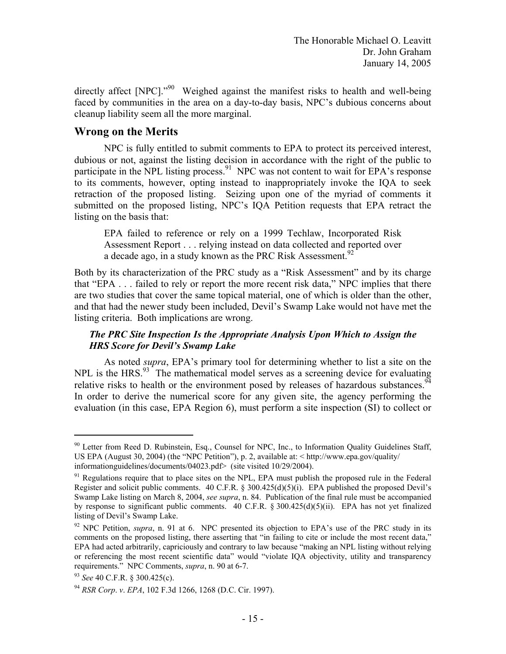directly affect [NPC]."<sup>90</sup> Weighed against the manifest risks to health and well-being faced by communities in the area on a day-to-day basis, NPC's dubious concerns about cleanup liability seem all the more marginal.

## **Wrong on the Merits**

NPC is fully entitled to submit comments to EPA to protect its perceived interest, dubious or not, against the listing decision in accordance with the right of the public to participate in the NPL listing process.<sup>91</sup> NPC was not content to wait for EPA's response to its comments, however, opting instead to inappropriately invoke the IQA to seek retraction of the proposed listing. Seizing upon one of the myriad of comments it submitted on the proposed listing, NPC's IQA Petition requests that EPA retract the listing on the basis that:

a decade ago, in a study known as the PRC Risk Assessment.<sup>92</sup> EPA failed to reference or rely on a 1999 Techlaw, Incorporated Risk Assessment Report . . . relying instead on data collected and reported over

Both by its characterization of the PRC study as a "Risk Assessment" and by its charge that "EPA . . . failed to rely or report the more recent risk data," NPC implies that there are two studies that cover the same topical material, one of which is older than the other, and that had the newer study been included, Devil's Swamp Lake would not have met the listing criteria. Both implications are wrong.

## *The PRC Site Inspection Is the Appropriate Analysis Upon Which to Assign the HRS Score for Devil's Swamp Lake*

relative risks to health or the environment posed by releases of hazardous substances.  $94$  As noted *supra*, EPA's primary tool for determining whether to list a site on the NPL is the HRS.<sup>93</sup> The mathematical model serves as a screening device for evaluating In order to derive the numerical score for any given site, the agency performing the evaluation (in this case, EPA Region 6), must perform a site inspection (SI) to collect or

<sup>&</sup>lt;sup>90</sup> Letter from Reed D. Rubinstein, Esq., Counsel for NPC, Inc., to Information Quality Guidelines Staff, US EPA (August 30, 2004) (the "NPC Petition"), p. 2, available at: < http://www.epa.gov/quality/ informationguidelines/documents/04023.pdf> (site visited 10/29/2004).

by response to significant public comments. 40 C.F.R.  $\S 300.425(d)(5)(ii)$ . EPA has not yet finalized  $91$  Regulations require that to place sites on the NPL, EPA must publish the proposed rule in the Federal Register and solicit public comments. 40 C.F.R.  $\S 300.425(d)(5)(i)$ . EPA published the proposed Devil's Swamp Lake listing on March 8, 2004, *see supra*, n. 84. Publication of the final rule must be accompanied listing of Devil's Swamp Lake.

 92 NPC Petition, *supra*, n. 91 at 6. NPC presented its objection to EPA's use of the PRC study in its comments on the proposed listing, there asserting that "in failing to cite or include the most recent data," EPA had acted arbitrarily, capriciously and contrary to law because "making an NPL listing without relying or referencing the most recent scientific data" would "violate IQA objectivity, utility and transparency *requirements."* NPC Comments, *supra*, n. 90 at 6-7.<br><sup>93</sup> *See* 40 C.F.R. § 300.425(c).<br><sup>94</sup> *RSR Corp. v. EPA*, 102 F.3d 1266, 1268 (D.C. Cir. 1997).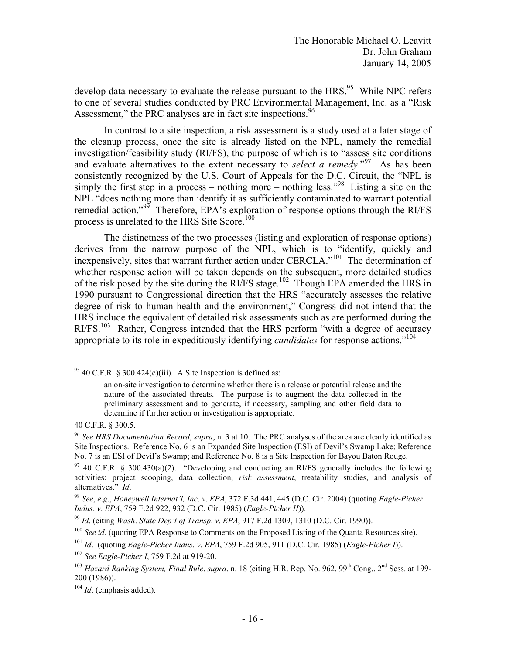Assessment," the PRC analyses are in fact site inspections.<sup>96</sup> develop data necessary to evaluate the release pursuant to the  $HRS$ <sup>95</sup> While NPC refers to one of several studies conducted by PRC Environmental Management, Inc. as a "Risk

In contrast to a site inspection, a risk assessment is a study used at a later stage of the cleanup process, once the site is already listed on the NPL, namely the remedial investigation/feasibility study (RI/FS), the purpose of which is to "assess site conditions and evaluate alternatives to the extent necessary to *select a remedy*.<sup>"97</sup> As has been consistently recognized by the U.S. Court of Appeals for the D.C. Circuit, the "NPL is simply the first step in a process – nothing more – nothing less.<sup> $98$ </sup> Listing a site on the NPL "does nothing more than identify it as sufficiently contaminated to warrant potential remedial action."<sup>99</sup> Therefore, EPA's exploration of response options through the RI/FS process is unrelated to the HRS Site Score.<sup>100</sup>

 appropriate to its role in expeditiously identifying *candidates* for response actions."104 The distinctness of the two processes (listing and exploration of response options) derives from the narrow purpose of the NPL, which is to "identify, quickly and inexpensively, sites that warrant further action under CERCLA."<sup>101</sup> The determination of whether response action will be taken depends on the subsequent, more detailed studies of the risk posed by the site during the RI/FS stage.<sup>102</sup> Though EPA amended the HRS in 1990 pursuant to Congressional direction that the HRS "accurately assesses the relative degree of risk to human health and the environment," Congress did not intend that the HRS include the equivalent of detailed risk assessments such as are performed during the RI/FS.<sup>103</sup> Rather, Congress intended that the HRS perform "with a degree of accuracy"

<sup>&</sup>lt;sup>95</sup> 40 C.F.R. § 300.424(c)(iii). A Site Inspection is defined as:

an on-site investigation to determine whether there is a release or potential release and the nature of the associated threats. The purpose is to augment the data collected in the preliminary assessment and to generate, if necessary, sampling and other field data to determine if further action or investigation is appropriate.

<sup>40</sup> C.F.R. § 300.5.

<sup>96</sup>*See HRS Documentation Record*, *supra*, n. 3 at 10. The PRC analyses of the area are clearly identified as Site Inspections. Reference No. 6 is an Expanded Site Inspection (ESI) of Devil's Swamp Lake; Reference No. 7 is an ESI of Devil's Swamp; and Reference No. 8 is a Site Inspection for Bayou Baton Rouge.

 $97$  40 C.F.R. § 300.430(a)(2). "Developing and conducting an RI/FS generally includes the following activities: project scooping, data collection, *risk assessment*, treatability studies, and analysis of alternatives." *Id*. 98 *See*, *e*.*g*., *Honeywell Internat'l, Inc*. *v*. *EPA*, 372 F.3d 441, 445 (D.C. Cir. 2004) (quoting *Eagle-Picher* 

*Indus. v. EPA*, 759 F.2d 922, 932 (D.C. Cir. 1985) (*Eagle-Picher II*)).<br><sup>99</sup> Id. (citing *Wash. State Dep't of Transp. v. EPA*, 917 F.2d 1309, 1310 (D.C. Cir. 1990)).<br><sup>100</sup> *See id.* (quoting EPA Response to Comments on

<sup>101</sup>*Id*. (quoting *Eagle-Picher Indus*. *v*. *EPA*, 759 F.2d 905, 911 (D.C. Cir. 1985) (*Eagle-Picher I*)). 102 *See Eagle-Picher I*, 759 F.2d at 919-20.

<sup>&</sup>lt;sup>103</sup> Hazard Ranking System, Final Rule, *supra*, n. 18 (citing H.R. Rep. No. 962, 99<sup>th</sup> Cong., 2<sup>nd</sup> Sess. at 199-200 (1986)).

<sup>104</sup>*Id*. (emphasis added).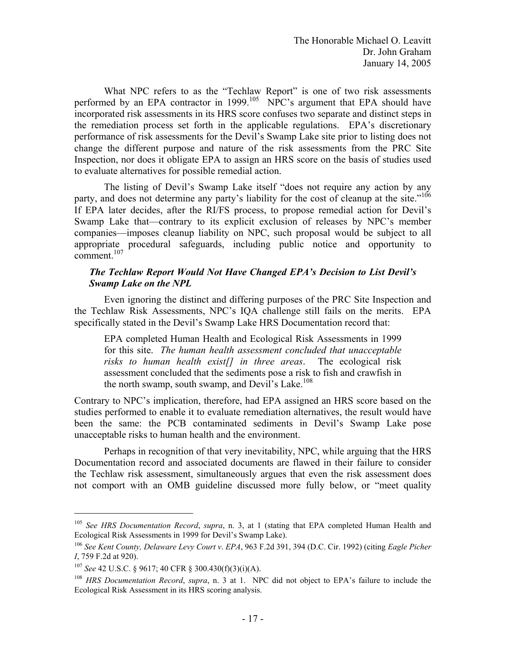What NPC refers to as the "Techlaw Report" is one of two risk assessments performed by an EPA contractor in 1999.<sup>105</sup> NPC's argument that EPA should have incorporated risk assessments in its HRS score confuses two separate and distinct steps in the remediation process set forth in the applicable regulations. EPA's discretionary performance of risk assessments for the Devil's Swamp Lake site prior to listing does not change the different purpose and nature of the risk assessments from the PRC Site Inspection, nor does it obligate EPA to assign an HRS score on the basis of studies used to evaluate alternatives for possible remedial action.

party, and does not determine any party's liability for the cost of cleanup at the site."<sup>106</sup>  $comment.<sup>107</sup>$ The listing of Devil's Swamp Lake itself "does not require any action by any If EPA later decides, after the RI/FS process, to propose remedial action for Devil's Swamp Lake that—contrary to its explicit exclusion of releases by NPC's member companies—imposes cleanup liability on NPC, such proposal would be subject to all appropriate procedural safeguards, including public notice and opportunity to

### *The Techlaw Report Would Not Have Changed EPA's Decision to List Devil's Swamp Lake on the NPL*

Even ignoring the distinct and differing purposes of the PRC Site Inspection and the Techlaw Risk Assessments, NPC's IQA challenge still fails on the merits. EPA specifically stated in the Devil's Swamp Lake HRS Documentation record that:

EPA completed Human Health and Ecological Risk Assessments in 1999 for this site. *The human health assessment concluded that unacceptable risks to human health exist[] in three areas*. The ecological risk assessment concluded that the sediments pose a risk to fish and crawfish in the north swamp, south swamp, and Devil's Lake.<sup>108</sup>

Contrary to NPC's implication, therefore, had EPA assigned an HRS score based on the studies performed to enable it to evaluate remediation alternatives, the result would have been the same: the PCB contaminated sediments in Devil's Swamp Lake pose unacceptable risks to human health and the environment.

Perhaps in recognition of that very inevitability, NPC, while arguing that the HRS Documentation record and associated documents are flawed in their failure to consider the Techlaw risk assessment, simultaneously argues that even the risk assessment does not comport with an OMB guideline discussed more fully below, or "meet quality

<u>.</u>

<sup>105</sup>*See HRS Documentation Record*, *supra*, n. 3, at 1 (stating that EPA completed Human Health and Ecological Risk Assessments in 1999 for Devil's Swamp Lake).

<sup>106</sup>*See Kent County, Delaware Levy Court v*. *EPA*, 963 F.2d 391, 394 (D.C. Cir. 1992) (citing *Eagle Picher I*, 759 F.2d at 920).

<sup>&</sup>lt;sup>107</sup> See 42 U.S.C. § 9617; 40 CFR § 300.430(f)(3)(i)(A).<br><sup>108</sup> *HRS Documentation Record*, *supra*, n. 3 at 1. NPC did not object to EPA's failure to include the Ecological Risk Assessment in its HRS scoring analysis.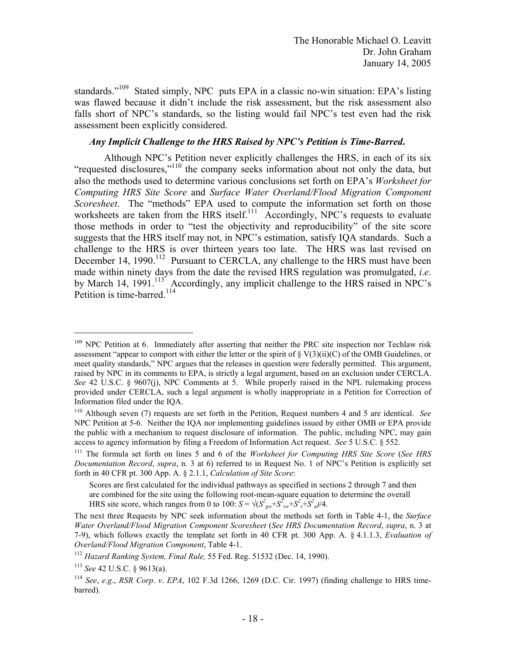standards."<sup>109</sup> Stated simply, NPC puts EPA in a classic no-win situation: EPA's listing was flawed because it didn't include the risk assessment, but the risk assessment also falls short of NPC's standards, so the listing would fail NPC's test even had the risk assessment been explicitly considered.

## *Any Implicit Challenge to the HRS Raised by NPC's Petition is Time-Barred***.**

Petition is time-barred.<sup>114</sup> Although NPC's Petition never explicitly challenges the HRS, in each of its six "requested disclosures,"110 the company seeks information about not only the data, but also the methods used to determine various conclusions set forth on EPA's *Worksheet for Computing HRS Site Score* and *Surface Water Overland/Flood Migration Component Scoresheet*. The "methods" EPA used to compute the information set forth on those worksheets are taken from the HRS itself.<sup>111</sup> Accordingly, NPC's requests to evaluate those methods in order to "test the objectivity and reproducibility" of the site score suggests that the HRS itself may not, in NPC's estimation, satisfy IQA standards. Such a challenge to the HRS is over thirteen years too late. The HRS was last revised on December 14, 1990.<sup>112</sup> Pursuant to CERCLA, any challenge to the HRS must have been made within ninety days from the date the revised HRS regulation was promulgated, *i*.*e*. by March 14, 1991.<sup>113</sup> Accordingly, any implicit challenge to the HRS raised in NPC's

 $\overline{a}$ 

<sup>&</sup>lt;sup>109</sup> NPC Petition at 6. Immediately after asserting that neither the PRC site inspection nor Techlaw risk raised by NPC in its comments to EPA, is strictly a legal argument, based on an exclusion under CERCLA. *See* 42 U.S.C. § 9607(j), NPC Comments at 5. While properly raised in the NPL rulemaking process assessment "appear to comport with either the letter or the spirit of  $\S V(3)(ii)(C)$  of the OMB Guidelines, or meet quality standards," NPC argues that the releases in question were federally permitted. This argument, provided under CERCLA, such a legal argument is wholly inappropriate in a Petition for Correction of Information filed under the IQA.

<sup>110</sup> Although seven (7) requests are set forth in the Petition, Request numbers 4 and 5 are identical. *See*  NPC Petition at 5-6. Neither the IQA nor implementing guidelines issued by either OMB or EPA provide the public with a mechanism to request disclosure of information. The public, including NPC, may gain access to agency information by filing a Freedom of Information Act request. *See* 5 U.S.C. § 552.<br><sup>111</sup> The formula set forth on lines 5 and 6 of the *Worksheet for Computing HRS Site Score* (*See HRS* 

*Documentation Record*, *supra*, n. 3 at 6) referred to in Request No. 1 of NPC's Petition is explicitly set forth in 40 CFR pt. 300 App. A. § 2.1.1, *Calculation of Site Score*:

Scores are first calculated for the individual pathways as specified in sections 2 through 7 and then are combined for the site using the following root-mean-square equation to determine the overall HRS site score, which ranges from 0 to 100:  $S = \sqrt{(S_{gw}^2 + S_{sw}^2 + S_{s}^2 + S_{a}^2)/4}$ .

 The next three Requests by NPC seek information about the methods set forth in Table 4-1, the *Surface Water Overland/Flood Migration Component Scoresheet* (*See HRS Documentation Record*, *supra*, n. 3 at 7-9), which follows exactly the template set forth in 40 CFR pt. 300 App. A. § 4.1.1.3, *Evaluation of Overland/Flood Migration Component*, Table 4-1.<br><sup>112</sup> *Hazard Ranking System, Final Rule,* 55 Fed. Reg. 51532 (Dec. 14, 1990).

<sup>113</sup>*See* 42 U.S.C. § 9613(a). 114 *See*, *e*.*g*., *RSR Corp*. *v*. *EPA*, 102 F.3d 1266, 1269 (D.C. Cir. 1997) (finding challenge to HRS timebarred).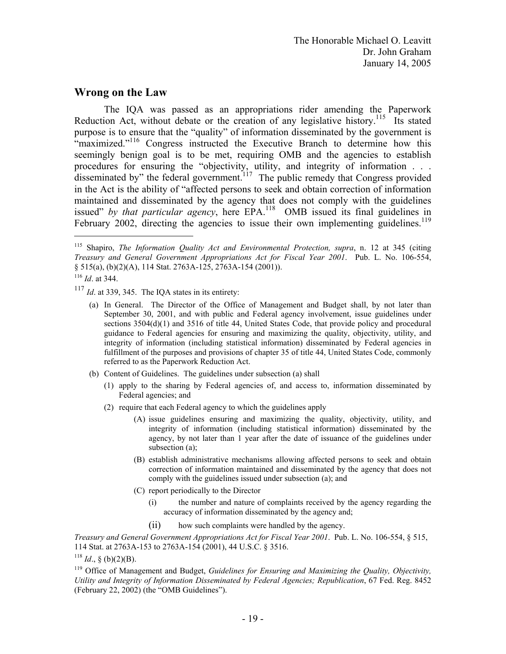The Honorable Michael O. Leavitt Dr. John Graham January 14, 2005

## **Wrong on the Law**

February 2002, directing the agencies to issue their own implementing guidelines.<sup>119</sup> The IQA was passed as an appropriations rider amending the Paperwork Reduction Act, without debate or the creation of any legislative history.<sup>115</sup> Its stated purpose is to ensure that the "quality" of information disseminated by the government is "maximized."<sup>116</sup> Congress instructed the Executive Branch to determine how this seemingly benign goal is to be met, requiring OMB and the agencies to establish procedures for ensuring the "objectivity, utility, and integrity of information . . . disseminated by" the federal government.<sup>117</sup> The public remedy that Congress provided in the Act is the ability of "affected persons to seek and obtain correction of information maintained and disseminated by the agency that does not comply with the guidelines issued" *by that particular agency*, here EPA.118 OMB issued its final guidelines in

1

- <sup>117</sup> *Id.* at 339, 345. The IQA states in its entirety:<br>(a) In General. The Director of the Office of Management and Budget shall, by not later than fulfillment of the purposes and provisions of chapter 35 of title 44, United States Code, commonly referred to as the Paperwork Reduction Act. September 30, 2001, and with public and Federal agency involvement, issue guidelines under sections  $3504(d)(1)$  and  $3516$  of title 44, United States Code, that provide policy and procedural guidance to Federal agencies for ensuring and maximizing the quality, objectivity, utility, and integrity of information (including statistical information) disseminated by Federal agencies in
	- (b) Content of Guidelines. The guidelines under subsection (a) shall
		- (1) apply to the sharing by Federal agencies of, and access to, information disseminated by Federal agencies; and
		- (2) require that each Federal agency to which the guidelines apply
			- subsection  $(a)$ ; (A) issue guidelines ensuring and maximizing the quality, objectivity, utility, and integrity of information (including statistical information) disseminated by the agency, by not later than 1 year after the date of issuance of the guidelines under
			- (B) establish administrative mechanisms allowing affected persons to seek and obtain correction of information maintained and disseminated by the agency that does not comply with the guidelines issued under subsection (a); and
			- (C) report periodically to the Director
				- (i) the number and nature of complaints received by the agency regarding the accuracy of information disseminated by the agency and;
				- (ii) how such complaints were handled by the agency.

*Treasury and General Government Appropriations Act for Fiscal Year 2001*. Pub. L. No. 106-554, § 515, 114 Stat. at 2763A-153 to 2763A-154 (2001), 44 U.S.C. § 3516.

<sup>118</sup> *Id.*, § (b)(2)(B).

<sup>119</sup> Office of Management and Budget, *Guidelines for Ensuring and Maximizing the Quality, Objectivity, Utility and Integrity of Information Disseminated by Federal Agencies; Republication*, 67 Fed. Reg. 8452 (February 22, 2002) (the "OMB Guidelines").

 *Treasury and General Government Appropriations Act for Fiscal Year 2001*. Pub. L. No. 106-554, 115 Shapiro, *The Information Quality Act and Environmental Protection, supra*, n. 12 at 345 (citing  $\S$  515(a), (b)(2)(A), 114 Stat. 2763A-125, 2763A-154 (2001)).

<sup>116</sup>*Id*. at 344.

 $117$  *Id.* at 339, 345. The IQA states in its entirety: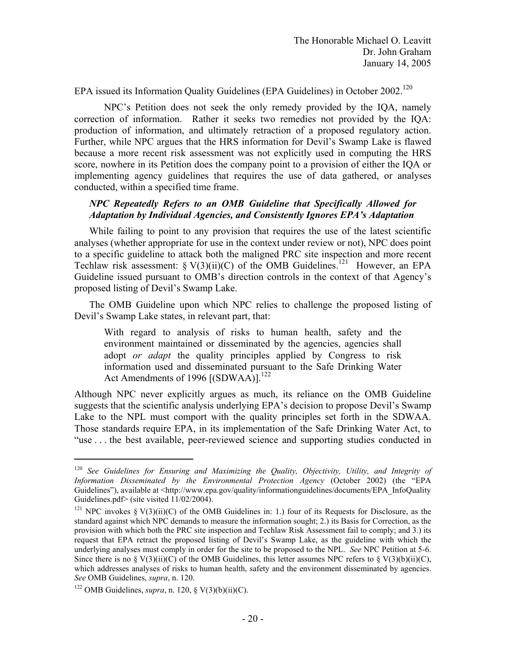EPA issued its Information Quality Guidelines (EPA Guidelines) in October 2002.<sup>120</sup>

NPC's Petition does not seek the only remedy provided by the IQA, namely correction of information. Rather it seeks two remedies not provided by the IQA: production of information, and ultimately retraction of a proposed regulatory action. Further, while NPC argues that the HRS information for Devil's Swamp Lake is flawed because a more recent risk assessment was not explicitly used in computing the HRS score, nowhere in its Petition does the company point to a provision of either the IQA or implementing agency guidelines that requires the use of data gathered, or analyses conducted, within a specified time frame.

### *NPC Repeatedly Refers to an OMB Guideline that Specifically Allowed for Adaptation by Individual Agencies, and Consistently Ignores EPA's Adaptation*

While failing to point to any provision that requires the use of the latest scientific analyses (whether appropriate for use in the context under review or not), NPC does point to a specific guideline to attack both the maligned PRC site inspection and more recent Techlaw risk assessment: § V(3)(ii)(C) of the OMB Guidelines.<sup>121</sup> However, an EPA Guideline issued pursuant to OMB's direction controls in the context of that Agency's proposed listing of Devil's Swamp Lake.

The OMB Guideline upon which NPC relies to challenge the proposed listing of Devil's Swamp Lake states, in relevant part, that:

Act Amendments of 1996  $[(SDWAA)]^{122}$ With regard to analysis of risks to human health, safety and the environment maintained or disseminated by the agencies, agencies shall adopt *or adapt* the quality principles applied by Congress to risk information used and disseminated pursuant to the Safe Drinking Water

Although NPC never explicitly argues as much, its reliance on the OMB Guideline suggests that the scientific analysis underlying EPA's decision to propose Devil's Swamp Lake to the NPL must comport with the quality principles set forth in the SDWAA. Those standards require EPA, in its implementation of the Safe Drinking Water Act, to "use . . . the best available, peer-reviewed science and supporting studies conducted in

<sup>120</sup>*See Guidelines for Ensuring and Maximizing the Quality, Objectivity, Utility, and Integrity of Information Disseminated by the Environmental Protection Agency* (October 2002) (the "EPA Guidelines"), available at <http://www.epa.gov/quality/informationguidelines/documents/EPA\_InfoQuality Guidelines.pdf> (site visited 11/02/2004).

<sup>&</sup>lt;sup>121</sup> NPC invokes § V(3)(ii)(C) of the OMB Guidelines in: 1.) four of its Requests for Disclosure, as the provision with which both the PRC site inspection and Techlaw Risk Assessment fail to comply; and 3.) its request that EPA retract the proposed listing of Devil's Swamp Lake, as the guideline with which the underlying analyses must comply in order for the site to be proposed to the NPL. See NPC Petition at 5-6. underlying analyses must comply in order for the site to be proposed to the NPL. *See* NPC Petition at 5-6. Since there is no § V(3)(ii)(C) of the OMB Guidelines, this letter assumes NPC refers to § V(3)(b)(ii)(C), which addresses analyses of risks to human health, safety and the environment disseminated by agencies. standard against which NPC demands to measure the information sought; 2.) its Basis for Correction, as the *See OMB Guidelines, <i>supra*, n. 120.<br><sup>122</sup> OMB Guidelines, *supra*, n. 120, § V(3)(b)(ii)(C).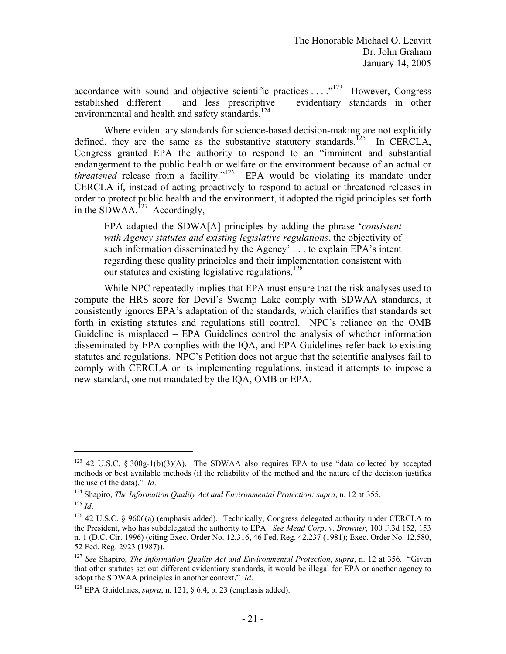accordance with sound and objective scientific practices  $\dots$   $\mathbb{R}^{123}$  However, Congress established different – and less prescriptive – evidentiary standards in other environmental and health and safety standards.<sup>124</sup>

Where evidentiary standards for science-based decision-making are not explicitly defined, they are the same as the substantive statutory standards.<sup>125</sup> In CERCLA, Congress granted EPA the authority to respond to an "imminent and substantial endangerment to the public health or welfare or the environment because of an actual or *threatened* release from a facility."<sup>126</sup> EPA would be violating its mandate under CERCLA if, instead of acting proactively to respond to actual or threatened releases in order to protect public health and the environment, it adopted the rigid principles set forth in the SDWAA.<sup>127</sup> Accordingly,

EPA adapted the SDWA[A] principles by adding the phrase '*consistent with Agency statutes and existing legislative regulations*, the objectivity of such information disseminated by the Agency' . . . to explain EPA's intent regarding these quality principles and their implementation consistent with our statutes and existing legislative regulations.<sup>128</sup>

While NPC repeatedly implies that EPA must ensure that the risk analyses used to compute the HRS score for Devil's Swamp Lake comply with SDWAA standards, it consistently ignores EPA's adaptation of the standards, which clarifies that standards set forth in existing statutes and regulations still control. NPC's reliance on the OMB Guideline is misplaced – EPA Guidelines control the analysis of whether information disseminated by EPA complies with the IQA, and EPA Guidelines refer back to existing statutes and regulations. NPC's Petition does not argue that the scientific analyses fail to comply with CERCLA or its implementing regulations, instead it attempts to impose a new standard, one not mandated by the IQA, OMB or EPA.

 $123$  42 U.S.C. § 300g-1(b)(3)(A). The SDWAA also requires EPA to use "data collected by accepted methods or best available methods (if the reliability of the method and the nature of the decision justifies

the use of the data)." *Id.* 124 Shapiro, *The Information Quality Act and Environmental Protection: supra*, n. 12 at 355. 125 *Id*.

 $126$  42 U.S.C. § 9606(a) (emphasis added). Technically, Congress delegated authority under CERCLA to the President, who has subdelegated the authority to EPA. *See Mead Corp*. *v*. *Browner*, 100 F.3d 152, 153 n. 1 (D.C. Cir. 1996) (citing Exec. Order No. 12,316, 46 Fed. Reg. 42,237 (1981); Exec. Order No. 12,580, 52 Fed. Reg. 2923 (1987)).

 <sup>127</sup>*See* Shapiro, *The Information Quality Act and Environmental Protection*, *supra*, n. 12 at 356. "Given that other statutes set out different evidentiary standards, it would be illegal for EPA or another agency to adopt the SDWAA principles in another context." *Id.* <sup>128</sup> EPA Guidelines, *supra*, n. 121, § 6.4, p. 23 (emphasis added).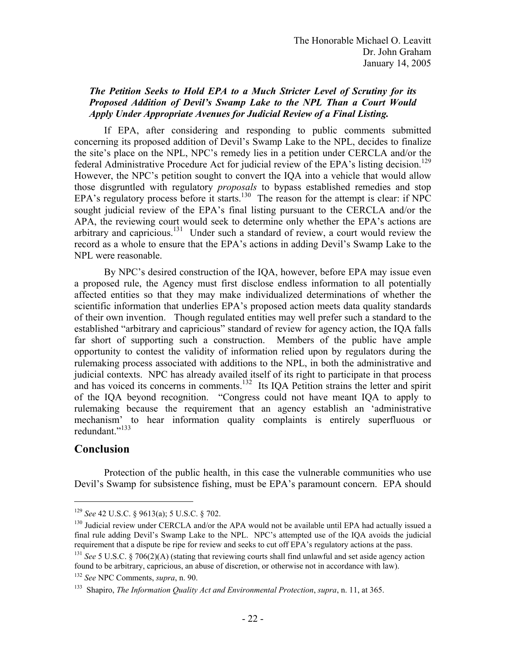## *The Petition Seeks to Hold EPA to a Much Stricter Level of Scrutiny for its Proposed Addition of Devil's Swamp Lake to the NPL Than a Court Would Apply Under Appropriate Avenues for Judicial Review of a Final Listing.*

federal Administrative Procedure Act for judicial review of the EPA's listing decision.<sup>129</sup> If EPA, after considering and responding to public comments submitted concerning its proposed addition of Devil's Swamp Lake to the NPL, decides to finalize the site's place on the NPL, NPC's remedy lies in a petition under CERCLA and/or the However, the NPC's petition sought to convert the IQA into a vehicle that would allow those disgruntled with regulatory *proposals* to bypass established remedies and stop EPA's regulatory process before it starts.130 The reason for the attempt is clear: if NPC sought judicial review of the EPA's final listing pursuant to the CERCLA and/or the APA, the reviewing court would seek to determine only whether the EPA's actions are arbitrary and capricious.131 Under such a standard of review, a court would review the record as a whole to ensure that the EPA's actions in adding Devil's Swamp Lake to the NPL were reasonable.

By NPC's desired construction of the IQA, however, before EPA may issue even a proposed rule, the Agency must first disclose endless information to all potentially affected entities so that they may make individualized determinations of whether the scientific information that underlies EPA's proposed action meets data quality standards of their own invention. Though regulated entities may well prefer such a standard to the established "arbitrary and capricious" standard of review for agency action, the IQA falls far short of supporting such a construction. Members of the public have ample opportunity to contest the validity of information relied upon by regulators during the rulemaking process associated with additions to the NPL, in both the administrative and judicial contexts. NPC has already availed itself of its right to participate in that process and has voiced its concerns in comments.<sup>132</sup> Its IQA Petition strains the letter and spirit of the IQA beyond recognition. "Congress could not have meant IQA to apply to rulemaking because the requirement that an agency establish an 'administrative mechanism' to hear information quality complaints is entirely superfluous or redundant."<sup>133</sup>

## **Conclusion**

1

Protection of the public health, in this case the vulnerable communities who use Devil's Swamp for subsistence fishing, must be EPA's paramount concern. EPA should

 final rule adding Devil's Swamp Lake to the NPL. NPC's attempted use of the IQA avoids the judicial <sup>129</sup> See 42 U.S.C. § 9613(a); 5 U.S.C. § 702.<br><sup>130</sup> Judicial review under CERCLA and/or the APA would not be available until EPA had actually issued a

requirement that a dispute be ripe for review and seeks to cut off EPA's regulatory actions at the pass.<br><sup>131</sup> *See* 5 U.S.C. § 706(2)(A) (stating that reviewing courts shall find unlawful and set aside agency action<br>found

<sup>&</sup>lt;sup>132</sup> See NPC Comments, *supra*, n. 90.<br><sup>133</sup> Shapiro, *The Information Quality Act and Environmental Protection*, *supra*, n. 11, at 365.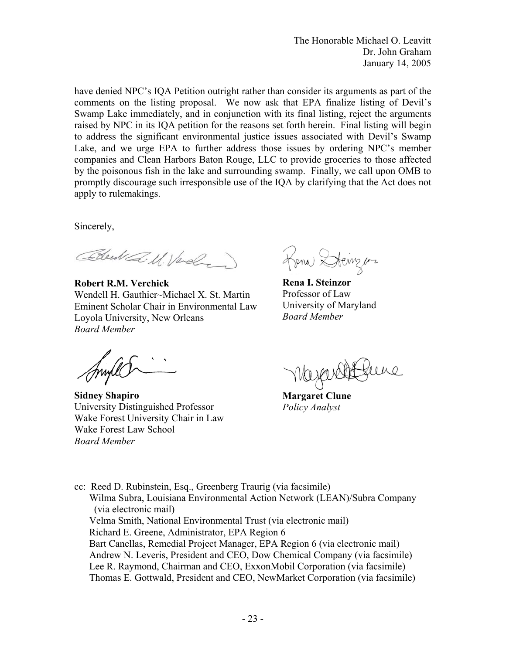The Honorable Michael O. Leavitt Dr. John Graham January 14, 2005

have denied NPC's IQA Petition outright rather than consider its arguments as part of the comments on the listing proposal. We now ask that EPA finalize listing of Devil's Swamp Lake immediately, and in conjunction with its final listing, reject the arguments raised by NPC in its IQA petition for the reasons set forth herein. Final listing will begin to address the significant environmental justice issues associated with Devil's Swamp Lake, and we urge EPA to further address those issues by ordering NPC's member companies and Clean Harbors Baton Rouge, LLC to provide groceries to those affected by the poisonous fish in the lake and surrounding swamp. Finally, we call upon OMB to promptly discourage such irresponsible use of the IQA by clarifying that the Act does not apply to rulemakings.

Sincerely,

Bleck a. U. Verely

**Robert R.M. Verchick Rena I. Steinzor**<br>
Wendell H. Gauthier~Michael X. St. Martin Professor of Law Wendell H. Gauthier~Michael X. St. Martin Professor of Law<br>Eminent Scholar Chair in Environmental Law University of Maryland Eminent Scholar Chair in Environmental Law University of M<br>Lovola University New Orleans Board Member Loyola University, New Orleans *Board Member* 

**Sidney Shapiro Margaret Clune** University Distinguished Professor *Policy Analyst*  Wake Forest University Chair in Law Wake Forest Law School *Board Member* 

Rena Steinger

cc: Reed D. Rubinstein, Esq., Greenberg Traurig (via facsimile) Wilma Subra, Louisiana Environmental Action Network (LEAN)/Subra Company (via electronic mail) Velma Smith, National Environmental Trust (via electronic mail) Richard E. Greene, Administrator, EPA Region 6 Bart Canellas, Remedial Project Manager, EPA Region 6 (via electronic mail) Andrew N. Leveris, President and CEO, Dow Chemical Company (via facsimile) Lee R. Raymond, Chairman and CEO, ExxonMobil Corporation (via facsimile) Thomas E. Gottwald, President and CEO, NewMarket Corporation (via facsimile)